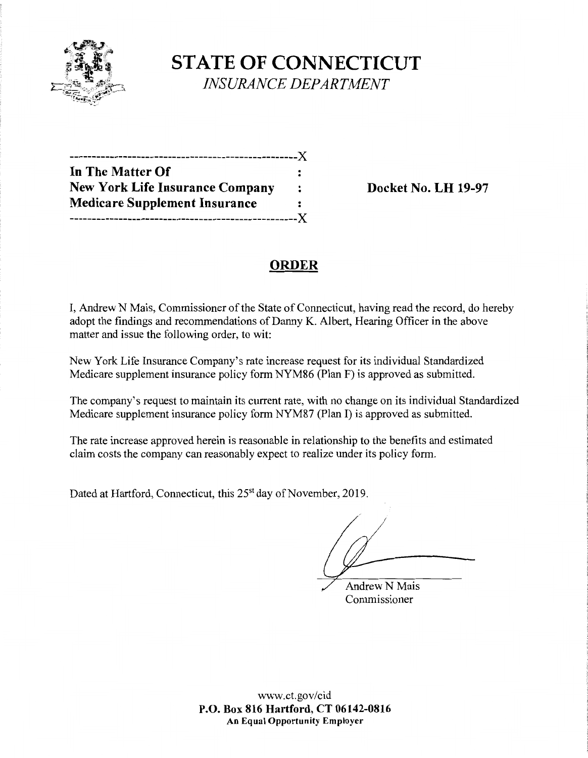

**STATE OF CONNECTICUT** *INSURANCE DEPARTMENT* 

| ---------------------------X           |                      |
|----------------------------------------|----------------------|
| In The Matter Of                       |                      |
| <b>New York Life Insurance Company</b> | $\ddot{\phantom{a}}$ |
| <b>Medicare Supplement Insurance</b>   | :                    |
|                                        | $-X$                 |

**Docket No. LH 19-97** 

## **ORDER**

I, Andrew N Mais, Commissioner of the State of Connecticut, having read the record, do hereby adopt the findings and recommendations of Danny K. Albert, Hearing Officer in the above matter and issue the following order, to wit:

New York Life Insurance Company's rate increase request for its individual Standardized Medicare supplement insurance policy form NYM86 (Plan F) is approved as submitted.

The company's request to maintain its current rate, with no change on its individual Standardized Medicare supplement insurance policy form NYM87 (Plan I) is approved as submitted.

The rate increase approved herein is reasonable in relationship to the benefits and estimated claim costs the company can reasonably expect to realize under its policy form.

Dated at Hartford, Connecticut, this 25<sup>st</sup> day of November, 2019.

**Andrew N Mais** Commissioner

www.ct.gov/cid **P.O. Box 816 Hartford, CT 06142-0816 An Equal Opportunity Employer**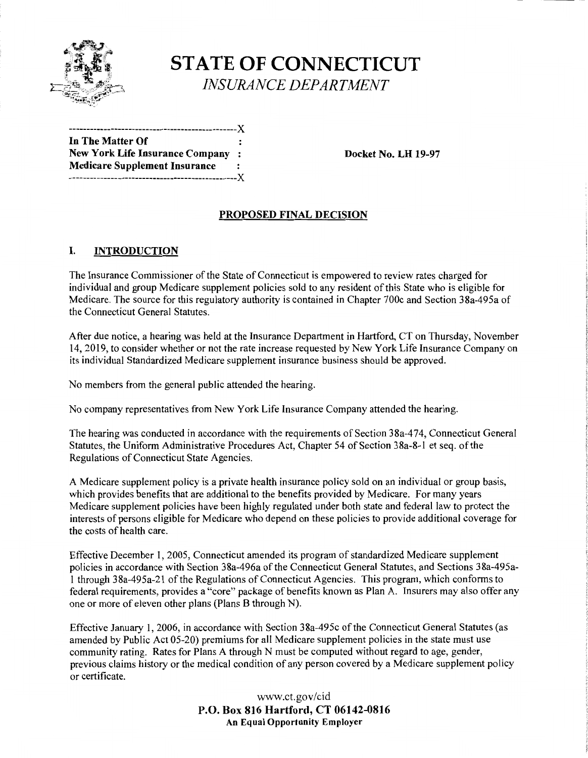

# **STATE OF CONNECTICUT**  *INSURANCE DEPARTMENT*

------------------------------------------------)( **In The Matter Of New York Life Insurance Company** : **Docket No. LH 19-97 Medicare Supplement Insurance**  ------------------------------------------------)(

## **PROPOSED FINAL DECISION**

## I. **INTRODUCTION**

The Insurance Commissioner of the State of Connecticut is empowered to review rates charged for individual and group Medicare supplement policies sold to any resident of this State who is eligible for Medicare. The source for this regulatory authority is contained in Chapter 700c and Section 3 8a-495a of the Connecticut General Statutes.

After due notice, a hearing was held at the Insurance Department in Hartford, CT on Thursday, November 14, 2019, to consider whether or not the rate increase requested by New York Life Insurance Company on its individual Standardized Medicare supplement insurance business should be approved.

No members from the general public attended the hearing.

No company representatives from New York Life Insurance Company attended the hearing.

The hearing was conducted in accordance with the requirements of Section 38a-474, Connecticut General Statutes, the Uniform Administrative Procedures Act, Chapter 54 of Section 38a-8-1 et seq. of the Regulations of Connecticut State Agencies.

A Medicare supplement policy is a private health insurance policy sold on an individual or group basis, which provides benefits that are additional to the benefits provided by Medicare. For many years Medicare supplement policies have been highly regulated under both state and federal law to protect the interests of persons eligible for Medicare who depend on these policies to provide additional coverage for the costs of health care.

Effective December 1, 2005, Connecticut amended its program of standardized Medicare supplement policies in accordance with Section 38a-496a of the Connecticut General Statutes, and Sections 38a-495a-1 through 38a-495a-21 of the Regulations of Connecticut Agencies. This program, which conforms to federal requirements, provides a "core" package of benefits known as Plan A. Insurers may also offer any one or more of eleven other plans (Plans B through N).

Effective January 1, 2006, in accordance with Section 38a-495c of the Connecticut General Statutes (as amended by Public Act 05-20) premiums for all Medicare supplement policies in the state must use community rating. Rates for Plans A through N must be computed without regard to age, gender, previous claims history or the medical condition of any person covered by a Medicare supplement policy or certificate.

> www.ct.gov/cid **P.O. Box 816 Hartford, CT 06142-0816 An Equal Opportunity Employer**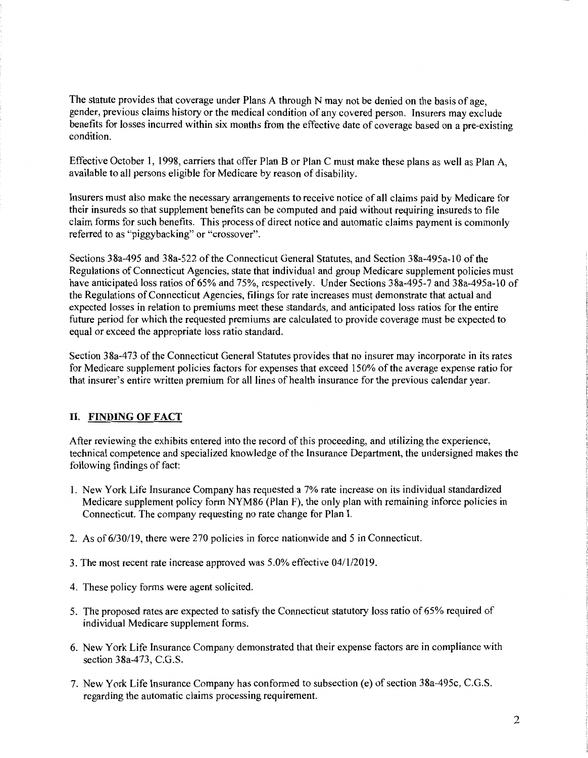The statute provides that coverage under Plans A through N may not be denied on the basis of age, gender, previous claims history or the medical condition of any covered person. Insurers may exclude benefits for losses incurred within six months from the effective date of coverage based on a pre-existing condition.

Effective October 1, 1998, carriers that offer Plan B or Plan C must make these plans as well as Plan A, available to all persons eligible for Medicare by reason of disability.

Insurers must also make the necessary arrangements to receive notice of all claims paid by Medicare for their insureds so that supplement benefits can be computed and paid without requiring insureds to file claim forms for such benefits. This process of direct notice and automatic claims payment is commonly referred to as "piggybacking" or "crossover".

Sections 38a-495 and 38a-522 of the Connecticut General Statutes, and Section 38a-495a-10 of the Regulations of Connecticut Agencies, state that individual and group Medicare supplement policies must have anticipated loss ratios of 65% and 75%, respectively. Under Sections 38a-495-7 and 38a-495a-10 of the Regulations of Connecticut Agencies, filings for rate increases must demonstrate that actual and expected losses in relation to premiums meet these standards, and anticipated loss ratios for the entire future period for which the requested premiums are calculated to provide coverage must be expected to equal or exceed the appropriate loss ratio standard.

Section 38a-473 of the Connecticut General Statutes provides that no insurer may incorporate in its rates for Medicare supplement policies factors for expenses that exceed 150% of the average expense ratio for that insurer's entire written premium for all lines of health insurance for the previous calendar year.

#### II. **FINDING OF FACT**

After reviewing the exhibits entered into the record of this proceeding, and utilizing the experience, technical competence and specialized knowledge of the Insurance Department, the undersigned makes the following findings of fact:

- 1. New York Life Insurance Company has requested a 7% rate increase on its individual standardized Medicare supplement policy form NYM86 (Plan F), the only plan with remaining inforce policies in Connecticut. The company requesting no rate change for Plan I.
- 2. As of 6/30/19, there were 270 policies in force nationwide and 5 in Connecticut.
- 3. The most recent rate increase approved was 5.0% effective 04/1/2019.
- 4. These policy forms were agent solicited.
- 5. The proposed rates are expected to satisfy the Connecticut statutory loss ratio of 65% required of individual Medicare supplement forms.
- 6. New York Life Insurance Company demonstrated that their expense factors are in compliance with section 38a-473, C.G.S.
- 7. New York Life Insurance Company has conformed to subsection (e) of section 38a-495c, C.G.S. regarding the automatic claims processing requirement.